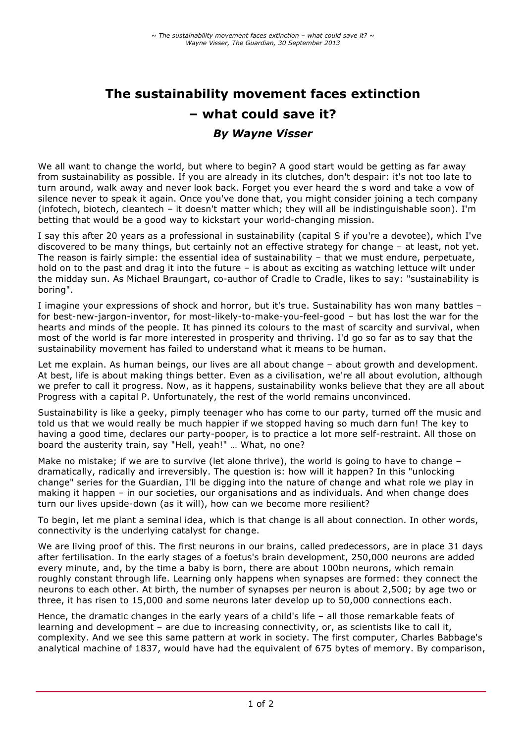## **The sustainability movement faces extinction – what could save it?** *By Wayne Visser*

We all want to change the world, but where to begin? A good start would be getting as far away from sustainability as possible. If you are already in its clutches, don't despair: it's not too late to turn around, walk away and never look back. Forget you ever heard the s word and take a vow of silence never to speak it again. Once you've done that, you might consider joining a tech company (infotech, biotech, cleantech – it doesn't matter which; they will all be indistinguishable soon). I'm betting that would be a good way to kickstart your world-changing mission.

I say this after 20 years as a professional in sustainability (capital S if you're a devotee), which I've discovered to be many things, but certainly not an effective strategy for change – at least, not yet. The reason is fairly simple: the essential idea of sustainability – that we must endure, perpetuate, hold on to the past and drag it into the future – is about as exciting as watching lettuce wilt under the midday sun. As Michael Braungart, co-author of Cradle to Cradle, likes to say: "sustainability is boring".

I imagine your expressions of shock and horror, but it's true. Sustainability has won many battles – for best-new-jargon-inventor, for most-likely-to-make-you-feel-good – but has lost the war for the hearts and minds of the people. It has pinned its colours to the mast of scarcity and survival, when most of the world is far more interested in prosperity and thriving. I'd go so far as to say that the sustainability movement has failed to understand what it means to be human.

Let me explain. As human beings, our lives are all about change – about growth and development. At best, life is about making things better. Even as a civilisation, we're all about evolution, although we prefer to call it progress. Now, as it happens, sustainability wonks believe that they are all about Progress with a capital P. Unfortunately, the rest of the world remains unconvinced.

Sustainability is like a geeky, pimply teenager who has come to our party, turned off the music and told us that we would really be much happier if we stopped having so much darn fun! The key to having a good time, declares our party-pooper, is to practice a lot more self-restraint. All those on board the austerity train, say "Hell, yeah!" … What, no one?

Make no mistake; if we are to survive (let alone thrive), the world is going to have to change dramatically, radically and irreversibly. The question is: how will it happen? In this "unlocking change" series for the Guardian, I'll be digging into the nature of change and what role we play in making it happen – in our societies, our organisations and as individuals. And when change does turn our lives upside-down (as it will), how can we become more resilient?

To begin, let me plant a seminal idea, which is that change is all about connection. In other words, connectivity is the underlying catalyst for change.

We are living proof of this. The first neurons in our brains, called predecessors, are in place 31 days after fertilisation. In the early stages of a foetus's brain development, 250,000 neurons are added every minute, and, by the time a baby is born, there are about 100bn neurons, which remain roughly constant through life. Learning only happens when synapses are formed: they connect the neurons to each other. At birth, the number of synapses per neuron is about 2,500; by age two or three, it has risen to 15,000 and some neurons later develop up to 50,000 connections each.

Hence, the dramatic changes in the early years of a child's life – all those remarkable feats of learning and development – are due to increasing connectivity, or, as scientists like to call it, complexity. And we see this same pattern at work in society. The first computer, Charles Babbage's analytical machine of 1837, would have had the equivalent of 675 bytes of memory. By comparison,